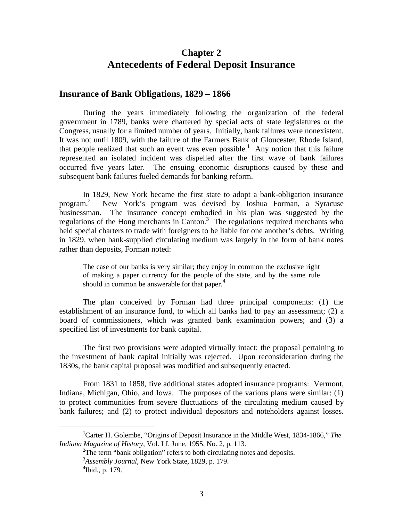# **Chapter 2 Antecedents of Federal Deposit Insurance**

#### **Insurance of Bank Obligations, 1829 – 1866**

During the years immediately following the organization of the federal government in 1789, banks were chartered by special acts of state legislatures or the Congress, usually for a limited number of years. Initially, bank failures were nonexistent. It was not until 1809, with the failure of the Farmers Bank of Gloucester, Rhode Island, that people realized that such an event was even possible.<sup>1</sup> Any notion that this failure represented an isolated incident was dispelled after the first wave of bank failures occurred five years later. The ensuing economic disruptions caused by these and subsequent bank failures fueled demands for banking reform.

In 1829, New York became the first state to adopt a bank-obligation insurance program.<sup>2</sup> New York's program was devised by Joshua Forman, a Syracuse businessman. The insurance concept embodied in his plan was suggested by the regulations of the Hong merchants in Canton.<sup>3</sup> The regulations required merchants who held special charters to trade with foreigners to be liable for one another's debts. Writing in 1829, when bank-supplied circulating medium was largely in the form of bank notes rather than deposits, Forman noted:

The case of our banks is very similar; they enjoy in common the exclusive right of making a paper currency for the people of the state, and by the same rule should in common be answerable for that paper.<sup>4</sup>

The plan conceived by Forman had three principal components: (1) the establishment of an insurance fund, to which all banks had to pay an assessment; (2) a board of commissioners, which was granted bank examination powers; and (3) a specified list of investments for bank capital.

The first two provisions were adopted virtually intact; the proposal pertaining to the investment of bank capital initially was rejected. Upon reconsideration during the 1830s, the bank capital proposal was modified and subsequently enacted.

From 1831 to 1858, five additional states adopted insurance programs: Vermont, Indiana, Michigan, Ohio, and Iowa. The purposes of the various plans were similar: (1) to protect communities from severe fluctuations of the circulating medium caused by bank failures; and (2) to protect individual depositors and noteholders against losses.

<sup>&</sup>lt;u>1</u> Carter H. Golembe, "Origins of Deposit Insurance in the Middle West, 1834-1866," *The Indiana Magazine of History*, Vol. LI, June, 1955, No. 2, p. 113.

 $2^2$ The term "bank obligation" refers to both circulating notes and deposits. 3 *Assembly Journal*, New York State, 1829, p. 179.

 $\rm{^{4}Ibid., p. 179}.$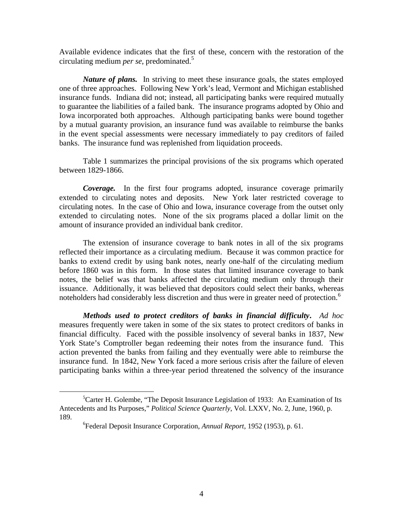Available evidence indicates that the first of these, concern with the restoration of the circulating medium *per se*, predominated.<sup>5</sup>

*Nature of plans.* In striving to meet these insurance goals, the states employed one of three approaches. Following New York's lead, Vermont and Michigan established insurance funds. Indiana did not; instead, all participating banks were required mutually to guarantee the liabilities of a failed bank. The insurance programs adopted by Ohio and Iowa incorporated both approaches. Although participating banks were bound together by a mutual guaranty provision, an insurance fund was available to reimburse the banks in the event special assessments were necessary immediately to pay creditors of failed banks. The insurance fund was replenished from liquidation proceeds.

Table 1 summarizes the principal provisions of the six programs which operated between 1829-1866.

*Coverage.* In the first four programs adopted, insurance coverage primarily extended to circulating notes and deposits. New York later restricted coverage to circulating notes. In the case of Ohio and Iowa, insurance coverage from the outset only extended to circulating notes. None of the six programs placed a dollar limit on the amount of insurance provided an individual bank creditor.

The extension of insurance coverage to bank notes in all of the six programs reflected their importance as a circulating medium. Because it was common practice for banks to extend credit by using bank notes, nearly one-half of the circulating medium before 1860 was in this form. In those states that limited insurance coverage to bank notes, the belief was that banks affected the circulating medium only through their issuance. Additionally, it was believed that depositors could select their banks, whereas noteholders had considerably less discretion and thus were in greater need of protection.<sup>6</sup>

*Methods used to protect creditors of banks in financial difficulty***.** *Ad hoc* measures frequently were taken in some of the six states to protect creditors of banks in financial difficulty. Faced with the possible insolvency of several banks in 1837, New York State's Comptroller began redeeming their notes from the insurance fund. This action prevented the banks from failing and they eventually were able to reimburse the insurance fund. In 1842, New York faced a more serious crisis after the failure of eleven participating banks within a three-year period threatened the solvency of the insurance

 $\frac{1}{5}$  ${}^5$ Carter H. Golembe, "The Deposit Insurance Legislation of 1933: An Examination of Its Antecedents and Its Purposes," *Political Science Quarterly*, Vol. LXXV, No. 2, June, 1960, p. 189.

<sup>6</sup> Federal Deposit Insurance Corporation, *Annual Report*, 1952 (1953), p. 61.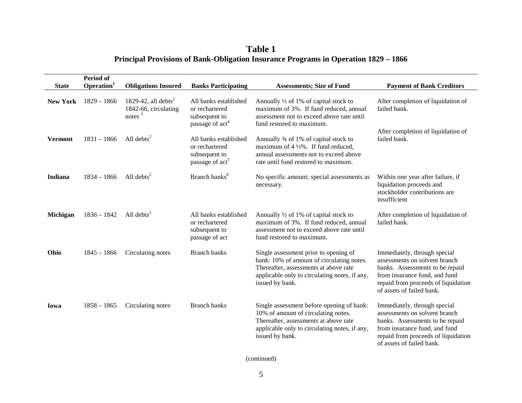**Table 1 Principal Provisions of Bank-Obligation Insurance Programs in Operation 1829 – 1866**

| <b>State</b>    | Period of<br>Operation <sup>1</sup> | <b>Obligations Insured</b>                                           | <b>Banks Participating</b>                                                              | <b>Assessments; Size of Fund</b>                                                                                                                                                                | <b>Payment of Bank Creditors</b>                                                                                                                                                                      |
|-----------------|-------------------------------------|----------------------------------------------------------------------|-----------------------------------------------------------------------------------------|-------------------------------------------------------------------------------------------------------------------------------------------------------------------------------------------------|-------------------------------------------------------------------------------------------------------------------------------------------------------------------------------------------------------|
| <b>New York</b> | $1829 - 1866$                       | 1829-42, all debts <sup>2</sup><br>1842-66, circulating<br>notes $3$ | All banks established<br>or rechartered<br>subsequent to<br>passage of act <sup>4</sup> | Annually $\frac{1}{2}$ of 1% of capital stock to<br>maximum of 3%. If fund reduced, annual<br>assessment not to exceed above rate until<br>fund restored to maximum.                            | After completion of liquidation of<br>failed bank.                                                                                                                                                    |
| <b>Vermont</b>  | $1831 - 1866$                       | All debts $2$                                                        | All banks established<br>or rechartered<br>subsequent to<br>passage of act <sup>5</sup> | Annually 3⁄4 of 1% of capital stock to<br>maximum of $4\frac{1}{2}\%$ . If fund reduced,<br>annual assessments not to exceed above<br>rate until fund restored to maximum.                      | After completion of liquidation of<br>failed bank.                                                                                                                                                    |
| Indiana         | $1834 - 1866$                       | All debts <sup>2</sup>                                               | Branch banks <sup>6</sup>                                                               | No specific amount; special assessments as<br>necessary.                                                                                                                                        | Within one year after failure, if<br>liquidation proceeds and<br>stockholder contributions are<br>insufficient                                                                                        |
| Michigan        | $1836 - 1842$                       | All debts $^{2}$                                                     | All banks established<br>or rechartered<br>subsequent to<br>passage of act              | Annually 1/2 of 1% of capital stock to<br>maximum of 3%. If fund reduced, annual<br>assessment not to exceed above rate until<br>fund restored to maximum.                                      | After completion of liquidation of<br>failed bank.                                                                                                                                                    |
| Ohio            | $1845 - 1866$                       | Circulating notes                                                    | <b>Branch banks</b>                                                                     | Single assessment prior to opening of<br>bank: 10% of amount of circulating notes.<br>Thereafter, assessments at above rate<br>applicable only to circulating notes, if any,<br>issued by bank. | Immediately, through special<br>assessments on solvent branch<br>banks. Assessments to be repaid<br>from insurance fund, and fund<br>repaid from proceeds of liquidation<br>of assets of failed bank. |
| Iowa            | $1858 - 1865$                       | Circulating notes                                                    | <b>Branch banks</b>                                                                     | Single assessment before opening of bank:<br>10% of amount of circulating notes.<br>Thereafter, assessments at above rate<br>applicable only to circulating notes, if any,<br>issued by bank.   | Immediately, through special<br>assessments on solvent branch<br>banks. Assessments to be repaid<br>from insurance fund, and fund<br>repaid from proceeds of liquidation<br>of assets of failed bank. |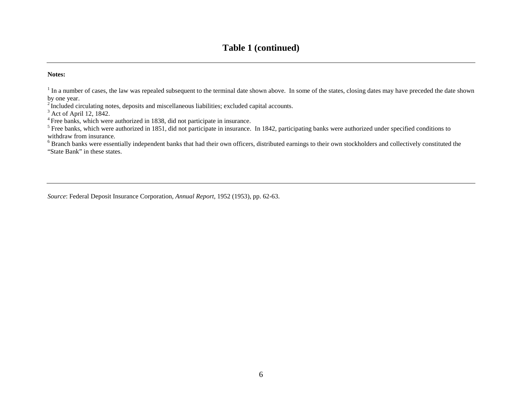## **Table 1 (continued)**

#### **Notes:**

<sup>1</sup> In a number of cases, the law was repealed subsequent to the terminal date shown above. In some of the states, closing dates may have preceded the date shown by one year.

<sup>2</sup> Included circulating notes, deposits and miscellaneous liabilities; excluded capital accounts.

 $3$  Act of April 12, 1842.

<sup>4</sup> Free banks, which were authorized in 1838, did not participate in insurance.

<sup>5</sup> Free banks, which were authorized in 1851, did not participate in insurance. In 1842, participating banks were authorized under specified conditions to withdraw from insurance.

<sup>6</sup> Branch banks were essentially independent banks that had their own officers, distributed earnings to their own stockholders and collectively constituted the "State Bank" in these states.

*Source*: Federal Deposit Insurance Corporation*, Annual Report*, 1952 (1953), pp. 62-63.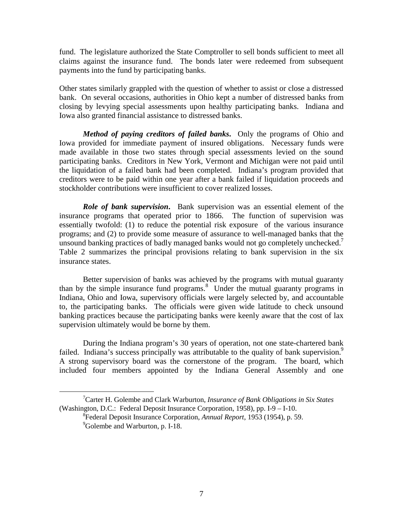fund. The legislature authorized the State Comptroller to sell bonds sufficient to meet all claims against the insurance fund. The bonds later were redeemed from subsequent payments into the fund by participating banks.

Other states similarly grappled with the question of whether to assist or close a distressed bank. On several occasions, authorities in Ohio kept a number of distressed banks from closing by levying special assessments upon healthy participating banks. Indiana and Iowa also granted financial assistance to distressed banks.

*Method of paying creditors of failed banks***.** Only the programs of Ohio and Iowa provided for immediate payment of insured obligations. Necessary funds were made available in those two states through special assessments levied on the sound participating banks. Creditors in New York, Vermont and Michigan were not paid until the liquidation of a failed bank had been completed. Indiana's program provided that creditors were to be paid within one year after a bank failed if liquidation proceeds and stockholder contributions were insufficient to cover realized losses.

*Role of bank supervision***.** Bank supervision was an essential element of the insurance programs that operated prior to 1866. The function of supervision was essentially twofold: (1) to reduce the potential risk exposure of the various insurance programs; and (2) to provide some measure of assurance to well-managed banks that the unsound banking practices of badly managed banks would not go completely unchecked.<sup>7</sup> Table 2 summarizes the principal provisions relating to bank supervision in the six insurance states.

Better supervision of banks was achieved by the programs with mutual guaranty than by the simple insurance fund programs.<sup>8</sup> Under the mutual guaranty programs in Indiana, Ohio and Iowa, supervisory officials were largely selected by, and accountable to, the participating banks. The officials were given wide latitude to check unsound banking practices because the participating banks were keenly aware that the cost of lax supervision ultimately would be borne by them.

During the Indiana program's 30 years of operation, not one state-chartered bank failed. Indiana's success principally was attributable to the quality of bank supervision.<sup>9</sup> A strong supervisory board was the cornerstone of the program. The board, which included four members appointed by the Indiana General Assembly and one

 $\frac{1}{7}$ Carter H. Golembe and Clark Warburton, *Insurance of Bank Obligations in Six States* (Washington, D.C.: Federal Deposit Insurance Corporation, 1958), pp. I-9 – I-10.

<sup>8</sup> Federal Deposit Insurance Corporation, *Annual Report*, 1953 (1954), p. 59. <sup>9</sup>Golembe and Warburton, p. I-18.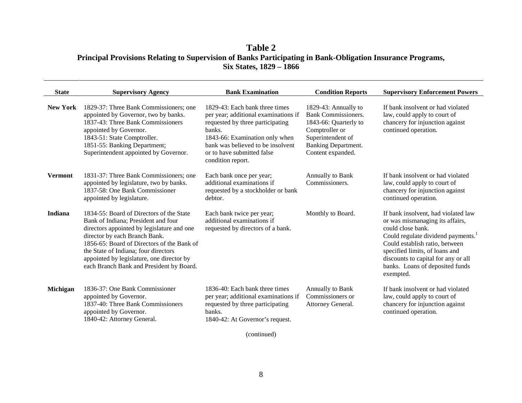### **Table 2 Principal Provisions Relating to Supervision of Banks Participating in Bank-Obligation Insurance Programs, Six States, 1829 – 1866**

| <b>State</b>    | <b>Supervisory Agency</b>                                                                                                                                                                                                                                                                                                                     | <b>Bank Examination</b>                                                                                                                                                                                                                        | <b>Condition Reports</b>                                                                                                                                              | <b>Supervisory Enforcement Powers</b>                                                                                                                                                                                                                                                                    |
|-----------------|-----------------------------------------------------------------------------------------------------------------------------------------------------------------------------------------------------------------------------------------------------------------------------------------------------------------------------------------------|------------------------------------------------------------------------------------------------------------------------------------------------------------------------------------------------------------------------------------------------|-----------------------------------------------------------------------------------------------------------------------------------------------------------------------|----------------------------------------------------------------------------------------------------------------------------------------------------------------------------------------------------------------------------------------------------------------------------------------------------------|
| <b>New York</b> | 1829-37: Three Bank Commissioners; one<br>appointed by Governor, two by banks.<br>1837-43: Three Bank Commissioners<br>appointed by Governor.<br>1843-51: State Comptroller.<br>1851-55: Banking Department;<br>Superintendent appointed by Governor.                                                                                         | 1829-43: Each bank three times<br>per year; additional examinations if<br>requested by three participating<br>banks.<br>1843-66: Examination only when<br>bank was believed to be insolvent<br>or to have submitted false<br>condition report. | 1829-43: Annually to<br><b>Bank Commissioners.</b><br>1843-66: Quarterly to<br>Comptroller or<br>Superintendent of<br><b>Banking Department.</b><br>Content expanded. | If bank insolvent or had violated<br>law, could apply to court of<br>chancery for injunction against<br>continued operation.                                                                                                                                                                             |
| <b>Vermont</b>  | 1831-37: Three Bank Commissioners; one<br>appointed by legislature, two by banks.<br>1837-58: One Bank Commissioner<br>appointed by legislature.                                                                                                                                                                                              | Each bank once per year;<br>additional examinations if<br>requested by a stockholder or bank<br>debtor.                                                                                                                                        | Annually to Bank<br>Commissioners.                                                                                                                                    | If bank insolvent or had violated<br>law, could apply to court of<br>chancery for injunction against<br>continued operation.                                                                                                                                                                             |
| Indiana         | 1834-55: Board of Directors of the State<br>Bank of Indiana; President and four<br>directors appointed by legislature and one<br>director by each Branch Bank.<br>1856-65: Board of Directors of the Bank of<br>the State of Indiana; four directors<br>appointed by legislature, one director by<br>each Branch Bank and President by Board. | Each bank twice per year;<br>additional examinations if<br>requested by directors of a bank.                                                                                                                                                   | Monthly to Board.                                                                                                                                                     | If bank insolvent, had violated law<br>or was mismanaging its affairs,<br>could close bank.<br>Could regulate dividend payments. <sup>1</sup><br>Could establish ratio, between<br>specified limits, of loans and<br>discounts to capital for any or all<br>banks. Loans of deposited funds<br>exempted. |
| Michigan        | 1836-37: One Bank Commissioner<br>appointed by Governor.<br>1837-40: Three Bank Commissioners<br>appointed by Governor.<br>1840-42: Attorney General.                                                                                                                                                                                         | 1836-40: Each bank three times<br>per year; additional examinations if<br>requested by three participating<br>banks.<br>1840-42: At Governor's request.                                                                                        | Annually to Bank<br>Commissioners or<br>Attorney General.                                                                                                             | If bank insolvent or had violated<br>law, could apply to court of<br>chancery for injunction against<br>continued operation.                                                                                                                                                                             |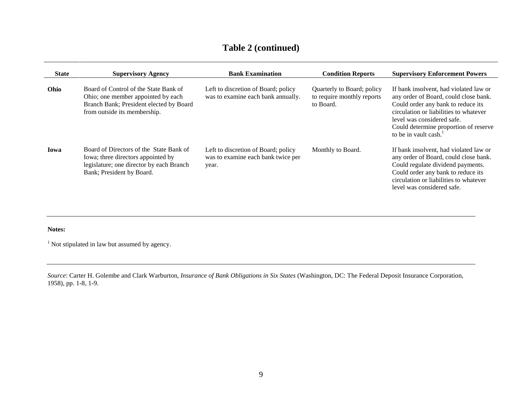# **Table 2 (continued)**

| <b>State</b> | <b>Supervisory Agency</b>                                                                                                                              | <b>Bank Examination</b>                                                            | <b>Condition Reports</b>                                              | <b>Supervisory Enforcement Powers</b>                                                                                                                                                                                                                                       |
|--------------|--------------------------------------------------------------------------------------------------------------------------------------------------------|------------------------------------------------------------------------------------|-----------------------------------------------------------------------|-----------------------------------------------------------------------------------------------------------------------------------------------------------------------------------------------------------------------------------------------------------------------------|
| Ohio         | Board of Control of the State Bank of<br>Ohio; one member appointed by each<br>Branch Bank; President elected by Board<br>from outside its membership. | Left to discretion of Board; policy<br>was to examine each bank annually.          | Quarterly to Board; policy<br>to require monthly reports<br>to Board. | If bank insolvent, had violated law or<br>any order of Board, could close bank.<br>Could order any bank to reduce its<br>circulation or liabilities to whatever<br>level was considered safe.<br>Could determine proportion of reserve<br>to be in vault cash. <sup>1</sup> |
| Iowa         | Board of Directors of the State Bank of<br>Iowa; three directors appointed by<br>legislature; one director by each Branch<br>Bank; President by Board. | Left to discretion of Board; policy<br>was to examine each bank twice per<br>year. | Monthly to Board.                                                     | If bank insolvent, had violated law or<br>any order of Board, could close bank.<br>Could regulate dividend payments.<br>Could order any bank to reduce its<br>circulation or liabilities to whatever<br>level was considered safe.                                          |

#### **Notes:**

 $1$  Not stipulated in law but assumed by agency.

*Source*: Carter H. Golembe and Clark Warburton, *Insurance of Bank Obligations in Six States* (Washington, DC: The Federal Deposit Insurance Corporation, 1958), pp. 1-8, 1-9.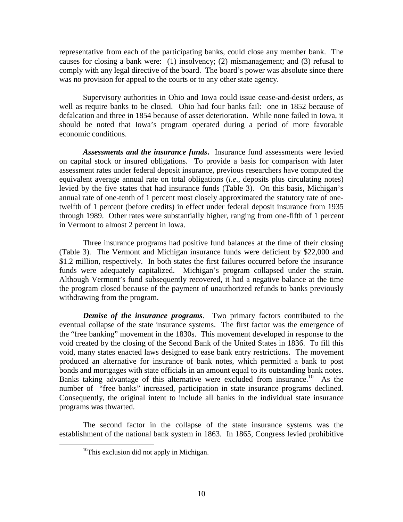representative from each of the participating banks, could close any member bank. The causes for closing a bank were: (1) insolvency; (2) mismanagement; and (3) refusal to comply with any legal directive of the board. The board's power was absolute since there was no provision for appeal to the courts or to any other state agency.

Supervisory authorities in Ohio and Iowa could issue cease-and-desist orders, as well as require banks to be closed. Ohio had four banks fail: one in 1852 because of defalcation and three in 1854 because of asset deterioration. While none failed in Iowa, it should be noted that Iowa's program operated during a period of more favorable economic conditions.

*Assessments and the insurance funds***.** Insurance fund assessments were levied on capital stock or insured obligations. To provide a basis for comparison with later assessment rates under federal deposit insurance, previous researchers have computed the equivalent average annual rate on total obligations (*i.e*., deposits plus circulating notes) levied by the five states that had insurance funds (Table 3). On this basis, Michigan's annual rate of one-tenth of 1 percent most closely approximated the statutory rate of onetwelfth of 1 percent (before credits) in effect under federal deposit insurance from 1935 through 1989. Other rates were substantially higher, ranging from one-fifth of 1 percent in Vermont to almost 2 percent in Iowa.

Three insurance programs had positive fund balances at the time of their closing (Table 3). The Vermont and Michigan insurance funds were deficient by \$22,000 and \$1.2 million, respectively. In both states the first failures occurred before the insurance funds were adequately capitalized. Michigan's program collapsed under the strain. Although Vermont's fund subsequently recovered, it had a negative balance at the time the program closed because of the payment of unauthorized refunds to banks previously withdrawing from the program.

*Demise of the insurance programs*. Two primary factors contributed to the eventual collapse of the state insurance systems. The first factor was the emergence of the "free banking" movement in the 1830s. This movement developed in response to the void created by the closing of the Second Bank of the United States in 1836. To fill this void, many states enacted laws designed to ease bank entry restrictions. The movement produced an alternative for insurance of bank notes, which permitted a bank to post bonds and mortgages with state officials in an amount equal to its outstanding bank notes. Banks taking advantage of this alternative were excluded from insurance.<sup>10</sup> As the number of "free banks" increased, participation in state insurance programs declined. Consequently, the original intent to include all banks in the individual state insurance programs was thwarted.

The second factor in the collapse of the state insurance systems was the establishment of the national bank system in 1863. In 1865, Congress levied prohibitive

 $10$ This exclusion did not apply in Michigan.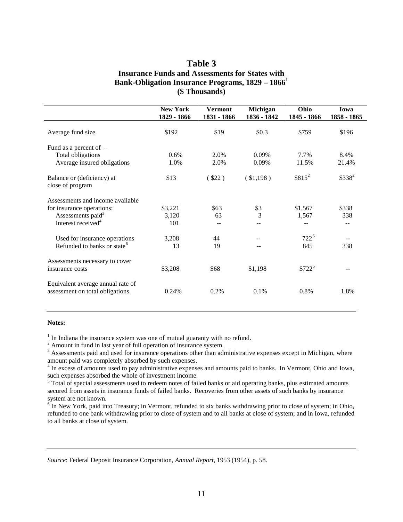### **Table 3 Insurance Funds and Assessments for States with Bank-Obligation Insurance Programs, 1829 – 1866<sup>1</sup> (\$ Thousands)**

|                                                                      | <b>New York</b><br>1829 - 1866 | <b>Vermont</b><br>1831 - 1866 | Michigan<br>1836 - 1842 | Ohio<br>1845 - 1866 | Iowa<br>1858 - 1865 |
|----------------------------------------------------------------------|--------------------------------|-------------------------------|-------------------------|---------------------|---------------------|
| Average fund size                                                    | \$192                          | \$19                          | \$0.3\$                 | \$759               | \$196               |
| Fund as a percent of $-$                                             |                                |                               |                         |                     |                     |
| <b>Total obligations</b>                                             | 0.6%                           | 2.0%                          | 0.09%                   | 7.7%                | 8.4%                |
| Average insured obligations                                          | 1.0%                           | 2.0%                          | 0.09%                   | 11.5%               | 21.4%               |
| Balance or (deficiency) at<br>close of program                       | \$13                           | (\$22)                        | (\$1,198)               | $$815^2$            | $$338^2$            |
| Assessments and income available                                     |                                |                               |                         |                     |                     |
| for insurance operations:                                            | \$3,221                        | \$63                          | \$3                     | \$1,567             | \$338               |
| Assessments paid <sup>3</sup>                                        | 3,120                          | 63                            | 3                       | 1,567               | 338                 |
| Interest received <sup>4</sup>                                       | 101                            |                               |                         |                     |                     |
| Used for insurance operations                                        | 3,208                          | 44                            |                         | $722^5$             |                     |
| Refunded to banks or state <sup>6</sup>                              | 13                             | 19                            |                         | 845                 | 338                 |
| Assessments necessary to cover                                       |                                |                               |                         |                     |                     |
| insurance costs                                                      | \$3,208                        | \$68                          | \$1,198                 | $$722^5$            |                     |
| Equivalent average annual rate of<br>assessment on total obligations | 0.24%                          | 0.2%                          | 0.1%                    | 0.8%                | 1.8%                |

#### **Notes:**

<sup>1</sup> In Indiana the insurance system was one of mutual guaranty with no refund.<br><sup>2</sup> Amount in fund in last year of full operation of insurance system.

 $3$  Assessments paid and used for insurance operations other than administrative expenses except in Michigan, where amount paid was completely absorbed by such expenses.

<sup>4</sup> In excess of amounts used to pay administrative expenses and amounts paid to banks. In Vermont, Ohio and Iowa, such expenses absorbed the whole of investment income.

<sup>5</sup> Total of special assessments used to redeem notes of failed banks or aid operating banks, plus estimated amounts secured from assets in insurance funds of failed banks. Recoveries from other assets of such banks by insurance system are not known.

<sup>6</sup> In New York, paid into Treasury; in Vermont, refunded to six banks withdrawing prior to close of system; in Ohio, refunded to one bank withdrawing prior to close of system and to all banks at close of system; and in Iowa, refunded to all banks at close of system.

*Source*: Federal Deposit Insurance Corporation, *Annual Report*, 1953 (1954), p. 58.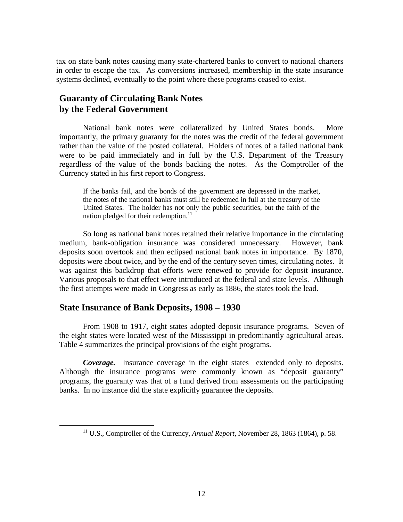tax on state bank notes causing many state-chartered banks to convert to national charters in order to escape the tax. As conversions increased, membership in the state insurance systems declined, eventually to the point where these programs ceased to exist.

### **Guaranty of Circulating Bank Notes by the Federal Government**

National bank notes were collateralized by United States bonds. More importantly, the primary guaranty for the notes was the credit of the federal government rather than the value of the posted collateral. Holders of notes of a failed national bank were to be paid immediately and in full by the U.S. Department of the Treasury regardless of the value of the bonds backing the notes. As the Comptroller of the Currency stated in his first report to Congress.

If the banks fail, and the bonds of the government are depressed in the market, the notes of the national banks must still be redeemed in full at the treasury of the United States. The holder has not only the public securities, but the faith of the nation pledged for their redemption.<sup>11</sup>

So long as national bank notes retained their relative importance in the circulating medium, bank-obligation insurance was considered unnecessary. However, bank deposits soon overtook and then eclipsed national bank notes in importance. By 1870, deposits were about twice, and by the end of the century seven times, circulating notes. It was against this backdrop that efforts were renewed to provide for deposit insurance. Various proposals to that effect were introduced at the federal and state levels. Although the first attempts were made in Congress as early as 1886, the states took the lead.

### **State Insurance of Bank Deposits, 1908 – 1930**

From 1908 to 1917, eight states adopted deposit insurance programs. Seven of the eight states were located west of the Mississippi in predominantly agricultural areas. Table 4 summarizes the principal provisions of the eight programs.

*Coverage.* Insurance coverage in the eight states extended only to deposits. Although the insurance programs were commonly known as "deposit guaranty" programs, the guaranty was that of a fund derived from assessments on the participating banks. In no instance did the state explicitly guarantee the deposits.

 <sup>11</sup> U.S., Comptroller of the Currency, *Annual Report*, November 28, 1863 (1864), p. 58.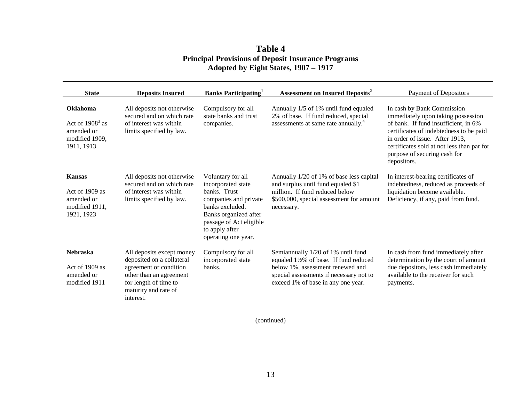### **Table 4 Principal Provisions of Deposit Insurance Programs Adopted by Eight States, 1907 – 1917**

| <b>State</b>                                                                       | <b>Deposits Insured</b>                                                                                                                                                   | <b>Banks Participating</b>                                                                                                                                                                       | Assessment on Insured Deposits <sup>2</sup>                                                                                                                                                     | <b>Payment of Depositors</b>                                                                                                                                                                                                                                                       |
|------------------------------------------------------------------------------------|---------------------------------------------------------------------------------------------------------------------------------------------------------------------------|--------------------------------------------------------------------------------------------------------------------------------------------------------------------------------------------------|-------------------------------------------------------------------------------------------------------------------------------------------------------------------------------------------------|------------------------------------------------------------------------------------------------------------------------------------------------------------------------------------------------------------------------------------------------------------------------------------|
| <b>Oklahoma</b><br>Act of $19083$ as<br>amended or<br>modified 1909,<br>1911, 1913 | All deposits not otherwise<br>secured and on which rate<br>of interest was within<br>limits specified by law.                                                             | Compulsory for all<br>state banks and trust<br>companies.                                                                                                                                        | Annually 1/5 of 1% until fund equaled<br>2% of base. If fund reduced, special<br>assessments at same rate annually. <sup>4</sup>                                                                | In cash by Bank Commission<br>immediately upon taking possession<br>of bank. If fund insufficient, in 6%<br>certificates of indebtedness to be paid<br>in order of issue. After 1913,<br>certificates sold at not less than par for<br>purpose of securing cash for<br>depositors. |
| <b>Kansas</b><br>Act of 1909 as<br>amended or<br>modified 1911,<br>1921, 1923      | All deposits not otherwise<br>secured and on which rate<br>of interest was within<br>limits specified by law.                                                             | Voluntary for all<br>incorporated state<br>banks. Trust<br>companies and private<br>banks excluded.<br>Banks organized after<br>passage of Act eligible<br>to apply after<br>operating one year. | Annually 1/20 of 1% of base less capital<br>and surplus until fund equaled \$1<br>million. If fund reduced below<br>\$500,000, special assessment for amount<br>necessary.                      | In interest-bearing certificates of<br>indebtedness, reduced as proceeds of<br>liquidation become available.<br>Deficiency, if any, paid from fund.                                                                                                                                |
| <b>Nebraska</b><br>Act of 1909 as<br>amended or<br>modified 1911                   | All deposits except money<br>deposited on a collateral<br>agreement or condition<br>other than an agreement<br>for length of time to<br>maturity and rate of<br>interest. | Compulsory for all<br>incorporated state<br>banks.                                                                                                                                               | Semiannually 1/20 of 1% until fund<br>equaled 1½% of base. If fund reduced<br>below 1%, assessment renewed and<br>special assessments if necessary not to<br>exceed 1% of base in any one year. | In cash from fund immediately after<br>determination by the court of amount<br>due depositors, less cash immediately<br>available to the receiver for such<br>payments.                                                                                                            |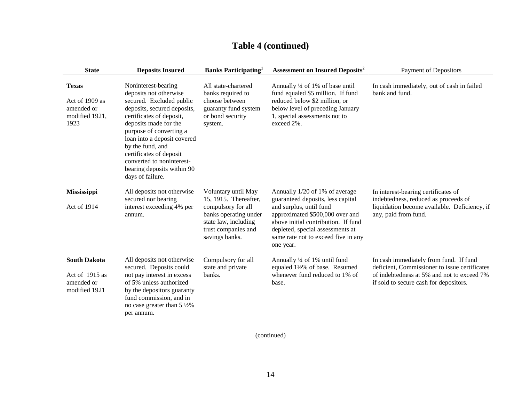| <b>State</b>                                                           | <b>Deposits Insured</b>                                                                                                                                                                                                                                                                                                                               | <b>Banks Participating</b>                                                                                                                                   | <b>Assessment on Insured Deposits<sup>2</sup></b>                                                                                                                                                                                                                | <b>Payment of Depositors</b>                                                                                                                                                    |
|------------------------------------------------------------------------|-------------------------------------------------------------------------------------------------------------------------------------------------------------------------------------------------------------------------------------------------------------------------------------------------------------------------------------------------------|--------------------------------------------------------------------------------------------------------------------------------------------------------------|------------------------------------------------------------------------------------------------------------------------------------------------------------------------------------------------------------------------------------------------------------------|---------------------------------------------------------------------------------------------------------------------------------------------------------------------------------|
| <b>Texas</b><br>Act of 1909 as<br>amended or<br>modified 1921,<br>1923 | Noninterest-bearing<br>deposits not otherwise<br>secured. Excluded public<br>deposits, secured deposits,<br>certificates of deposit,<br>deposits made for the<br>purpose of converting a<br>loan into a deposit covered<br>by the fund, and<br>certificates of deposit<br>converted to noninterest-<br>bearing deposits within 90<br>days of failure. | All state-chartered<br>banks required to<br>choose between<br>guaranty fund system<br>or bond security<br>system.                                            | Annually 1/4 of 1% of base until<br>fund equaled \$5 million. If fund<br>reduced below \$2 million, or<br>below level of preceding January<br>1, special assessments not to<br>exceed 2%.                                                                        | In cash immediately, out of cash in failed<br>bank and fund.                                                                                                                    |
| Mississippi<br>Act of 1914                                             | All deposits not otherwise<br>secured nor bearing<br>interest exceeding 4% per<br>annum.                                                                                                                                                                                                                                                              | Voluntary until May<br>15, 1915. Thereafter,<br>compulsory for all<br>banks operating under<br>state law, including<br>trust companies and<br>savings banks. | Annually 1/20 of 1% of average<br>guaranteed deposits, less capital<br>and surplus, until fund<br>approximated \$500,000 over and<br>above initial contribution. If fund<br>depleted, special assessments at<br>same rate not to exceed five in any<br>one year. | In interest-bearing certificates of<br>indebtedness, reduced as proceeds of<br>liquidation become available. Deficiency, if<br>any, paid from fund.                             |
| <b>South Dakota</b><br>Act of 1915 as<br>amended or<br>modified 1921   | All deposits not otherwise<br>secured. Deposits could<br>not pay interest in excess<br>of 5% unless authorized<br>by the depositors guaranty<br>fund commission, and in<br>no case greater than $5\frac{1}{2}\%$<br>per annum.                                                                                                                        | Compulsory for all<br>state and private<br>banks.                                                                                                            | Annually 1/4 of 1% until fund<br>equaled 1½% of base. Resumed<br>whenever fund reduced to 1% of<br>base.                                                                                                                                                         | In cash immediately from fund. If fund<br>deficient, Commissioner to issue certificates<br>of indebtedness at 5% and not to exceed 7%<br>if sold to secure cash for depositors. |

# **Table 4 (continued)**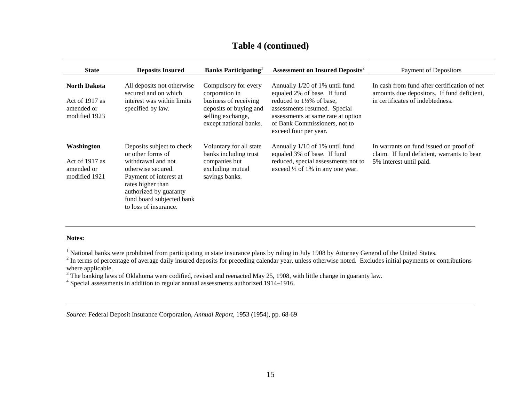| <b>State</b>                                                         | <b>Deposits Insured</b>                                                                                                                                                                                                   | <b>Banks Participating</b>                                                                                                               | <b>Assessment on Insured Deposits<sup>2</sup></b>                                                                                                                                                                                     | Payment of Depositors                                                                                                          |
|----------------------------------------------------------------------|---------------------------------------------------------------------------------------------------------------------------------------------------------------------------------------------------------------------------|------------------------------------------------------------------------------------------------------------------------------------------|---------------------------------------------------------------------------------------------------------------------------------------------------------------------------------------------------------------------------------------|--------------------------------------------------------------------------------------------------------------------------------|
| <b>North Dakota</b><br>Act of 1917 as<br>amended or<br>modified 1923 | All deposits not otherwise<br>secured and on which<br>interest was within limits<br>specified by law.                                                                                                                     | Compulsory for every<br>corporation in<br>business of receiving<br>deposits or buying and<br>selling exchange,<br>except national banks. | Annually 1/20 of 1% until fund<br>equaled 2% of base. If fund<br>reduced to $1\frac{1}{2}\%$ of base.<br>assessments resumed. Special<br>assessments at same rate at option<br>of Bank Commissioners, not to<br>exceed four per year. | In cash from fund after certification of net<br>amounts due depositors. If fund deficient,<br>in certificates of indebtedness. |
| Washington<br>Act of 1917 as<br>amended or<br>modified 1921          | Deposits subject to check<br>or other forms of<br>withdrawal and not<br>otherwise secured.<br>Payment of interest at<br>rates higher than<br>authorized by guaranty<br>fund board subjected bank<br>to loss of insurance. | Voluntary for all state<br>banks including trust<br>companies but<br>excluding mutual<br>savings banks.                                  | Annually 1/10 of 1% until fund<br>equaled 3% of base. If fund<br>reduced, special assessments not to<br>exceed $\frac{1}{2}$ of 1% in any one year.                                                                                   | In warrants on fund issued on proof of<br>claim. If fund deficient, warrants to bear<br>5% interest until paid.                |

### **Table 4 (continued)**

#### **Notes:**

<sup>1</sup> National banks were prohibited from participating in state insurance plans by ruling in July 1908 by Attorney General of the United States.

<sup>2</sup> In terms of percentage of average daily insured deposits for preceding calendar year, unless otherwise noted. Excludes initial payments or contributions where applicable.

<sup>3</sup> The banking laws of Oklahoma were codified, revised and reenacted May 25, 1908, with little change in guaranty law.

4 Special assessments in addition to regular annual assessments authorized 1914–1916.

*Source*: Federal Deposit Insurance Corporation, *Annual Report*, 1953 (1954), pp. 68-69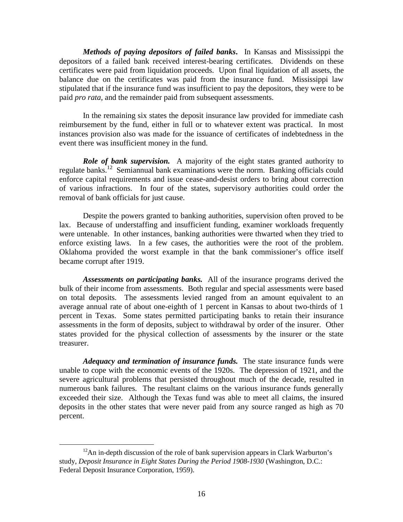*Methods of paying depositors of failed banks***.** In Kansas and Mississippi the depositors of a failed bank received interest-bearing certificates. Dividends on these certificates were paid from liquidation proceeds. Upon final liquidation of all assets, the balance due on the certificates was paid from the insurance fund. Mississippi law stipulated that if the insurance fund was insufficient to pay the depositors, they were to be paid *pro rata*, and the remainder paid from subsequent assessments.

In the remaining six states the deposit insurance law provided for immediate cash reimbursement by the fund, either in full or to whatever extent was practical. In most instances provision also was made for the issuance of certificates of indebtedness in the event there was insufficient money in the fund.

*Role of bank supervision.* A majority of the eight states granted authority to regulate banks.12 Semiannual bank examinations were the norm. Banking officials could enforce capital requirements and issue cease-and-desist orders to bring about correction of various infractions. In four of the states, supervisory authorities could order the removal of bank officials for just cause.

Despite the powers granted to banking authorities, supervision often proved to be lax. Because of understaffing and insufficient funding, examiner workloads frequently were untenable. In other instances, banking authorities were thwarted when they tried to enforce existing laws. In a few cases, the authorities were the root of the problem. Oklahoma provided the worst example in that the bank commissioner's office itself became corrupt after 1919.

*Assessments on participating banks.* All of the insurance programs derived the bulk of their income from assessments. Both regular and special assessments were based on total deposits. The assessments levied ranged from an amount equivalent to an average annual rate of about one-eighth of 1 percent in Kansas to about two-thirds of 1 percent in Texas. Some states permitted participating banks to retain their insurance assessments in the form of deposits, subject to withdrawal by order of the insurer. Other states provided for the physical collection of assessments by the insurer or the state treasurer.

*Adequacy and termination of insurance funds.* The state insurance funds were unable to cope with the economic events of the 1920s. The depression of 1921, and the severe agricultural problems that persisted throughout much of the decade, resulted in numerous bank failures. The resultant claims on the various insurance funds generally exceeded their size. Although the Texas fund was able to meet all claims, the insured deposits in the other states that were never paid from any source ranged as high as 70 percent.

<sup>&</sup>lt;sup>12</sup>An in-depth discussion of the role of bank supervision appears in Clark Warburton's study, *Deposit Insurance in Eight States During the Period 1908-1930* (Washington, D.C.: Federal Deposit Insurance Corporation, 1959).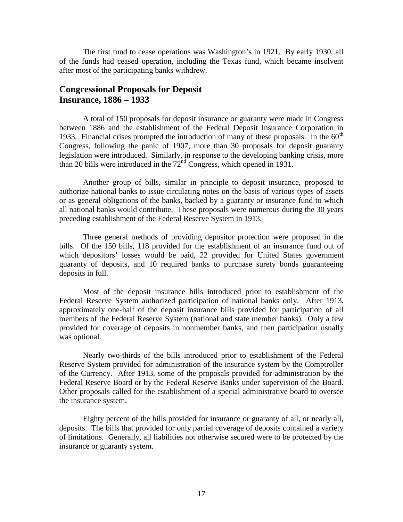The first fund to cease operations was Washington's in 1921. By early 1930, all of the funds had ceased operation, including the Texas fund, which became insolvent after most of the participating banks withdrew.

### **Congressional Proposals for Deposit Insurance, 1886 – 1933**

A total of 150 proposals for deposit insurance or guaranty were made in Congress between 1886 and the establishment of the Federal Deposit Insurance Corporation in 1933. Financial crises prompted the introduction of many of these proposals. In the  $60<sup>th</sup>$ Congress, following the panic of 1907, more than 30 proposals for deposit guaranty legislation were introduced. Similarly, in response to the developing banking crisis, more than 20 bills were introduced in the  $72<sup>nd</sup>$  Congress, which opened in 1931.

Another group of bills, similar in principle to deposit insurance, proposed to authorize national banks to issue circulating notes on the basis of various types of assets or as general obligations of the banks, backed by a guaranty or insurance fund to which all national banks would contribute. These proposals were numerous during the 30 years preceding establishment of the Federal Reserve System in 1913.

Three general methods of providing depositor protection were proposed in the bills. Of the 150 bills, 118 provided for the establishment of an insurance fund out of which depositors' losses would be paid, 22 provided for United States government guaranty of deposits, and 10 required banks to purchase surety bonds guaranteeing deposits in full.

Most of the deposit insurance bills introduced prior to establishment of the Federal Reserve System authorized participation of national banks only. After 1913, approximately one-half of the deposit insurance bills provided for participation of all members of the Federal Reserve System (national and state member banks). Only a few provided for coverage of deposits in nonmember banks, and then participation usually was optional.

Nearly two-thirds of the bills introduced prior to establishment of the Federal Reserve System provided for administration of the insurance system by the Comptroller of the Currency. After 1913, some of the proposals provided for administration by the Federal Reserve Board or by the Federal Reserve Banks under supervision of the Board. Other proposals called for the establishment of a special administrative board to oversee the insurance system.

Eighty percent of the bills provided for insurance or guaranty of all, or nearly all, deposits. The bills that provided for only partial coverage of deposits contained a variety of limitations. Generally, all liabilities not otherwise secured were to be protected by the insurance or guaranty system.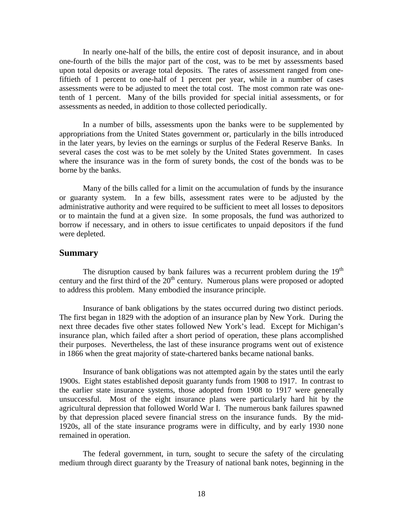In nearly one-half of the bills, the entire cost of deposit insurance, and in about one-fourth of the bills the major part of the cost, was to be met by assessments based upon total deposits or average total deposits. The rates of assessment ranged from onefiftieth of 1 percent to one-half of 1 percent per year, while in a number of cases assessments were to be adjusted to meet the total cost. The most common rate was onetenth of 1 percent. Many of the bills provided for special initial assessments, or for assessments as needed, in addition to those collected periodically.

In a number of bills, assessments upon the banks were to be supplemented by appropriations from the United States government or, particularly in the bills introduced in the later years, by levies on the earnings or surplus of the Federal Reserve Banks. In several cases the cost was to be met solely by the United States government. In cases where the insurance was in the form of surety bonds, the cost of the bonds was to be borne by the banks.

Many of the bills called for a limit on the accumulation of funds by the insurance or guaranty system. In a few bills, assessment rates were to be adjusted by the administrative authority and were required to be sufficient to meet all losses to depositors or to maintain the fund at a given size. In some proposals, the fund was authorized to borrow if necessary, and in others to issue certificates to unpaid depositors if the fund were depleted.

### **Summary**

The disruption caused by bank failures was a recurrent problem during the  $19<sup>th</sup>$ century and the first third of the  $20<sup>th</sup>$  century. Numerous plans were proposed or adopted to address this problem. Many embodied the insurance principle.

Insurance of bank obligations by the states occurred during two distinct periods. The first began in 1829 with the adoption of an insurance plan by New York. During the next three decades five other states followed New York's lead. Except for Michigan's insurance plan, which failed after a short period of operation, these plans accomplished their purposes. Nevertheless, the last of these insurance programs went out of existence in 1866 when the great majority of state-chartered banks became national banks.

Insurance of bank obligations was not attempted again by the states until the early 1900s. Eight states established deposit guaranty funds from 1908 to 1917. In contrast to the earlier state insurance systems, those adopted from 1908 to 1917 were generally unsuccessful. Most of the eight insurance plans were particularly hard hit by the agricultural depression that followed World War I. The numerous bank failures spawned by that depression placed severe financial stress on the insurance funds. By the mid-1920s, all of the state insurance programs were in difficulty, and by early 1930 none remained in operation.

The federal government, in turn, sought to secure the safety of the circulating medium through direct guaranty by the Treasury of national bank notes, beginning in the